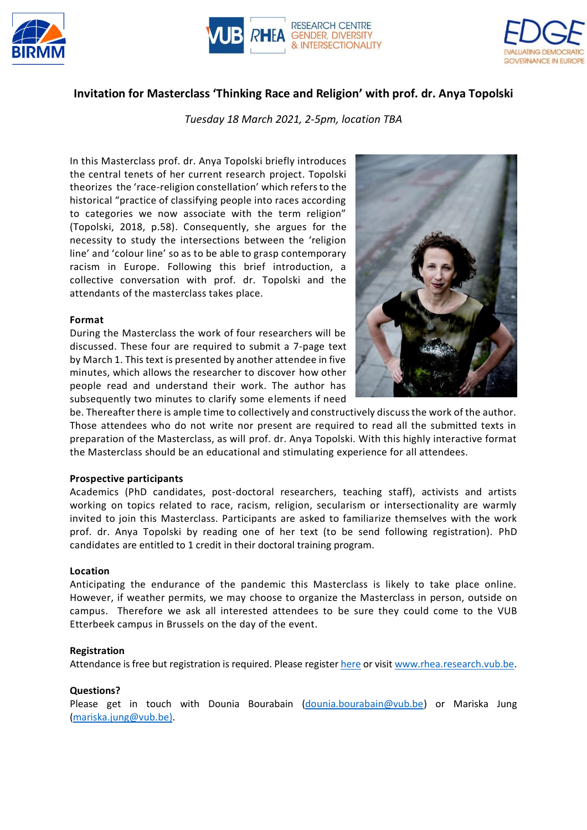





# **Invitation for Masterclass 'Thinking Race and Religion' with prof. dr. Anya Topolski**

*Tuesday 18 March 2021, 2-5pm, location TBA*

In this Masterclass prof. dr. Anya Topolski briefly introduces the central tenets of her current research project. Topolski theorizes the 'race-religion constellation' which refers to the historical "practice of classifying people into races according to categories we now associate with the term religion" (Topolski, 2018, p.58). Consequently, she argues for the necessity to study the intersections between the 'religion line' and 'colour line' so as to be able to grasp contemporary racism in Europe. Following this brief introduction, a collective conversation with prof. dr. Topolski and the attendants of the masterclass takes place.

#### **Format**

During the Masterclass the work of four researchers will be discussed. These four are required to submit a 7-page text by March 1. This text is presented by another attendee in five minutes, which allows the researcher to discover how other people read and understand their work. The author has subsequently two minutes to clarify some elements if need



be. Thereafter there is ample time to collectively and constructively discuss the work of the author. Those attendees who do not write nor present are required to read all the submitted texts in preparation of the Masterclass, as will prof. dr. Anya Topolski. With this highly interactive format the Masterclass should be an educational and stimulating experience for all attendees.

#### **Prospective participants**

Academics (PhD candidates, post-doctoral researchers, teaching staff), activists and artists working on topics related to race, racism, religion, secularism or intersectionality are warmly invited to join this Masterclass. Participants are asked to familiarize themselves with the work prof. dr. Anya Topolski by reading one of her text (to be send following registration). PhD candidates are entitled to 1 credit in their doctoral training program.

#### **Location**

Anticipating the endurance of the pandemic this Masterclass is likely to take place online. However, if weather permits, we may choose to organize the Masterclass in person, outside on campus. Therefore we ask all interested attendees to be sure they could come to the VUB Etterbeek campus in Brussels on the day of the event.

#### **Registration**

Attendance is free but registration is required. Please registe[r here](https://rhea.research.vub.be/nl/masterclass-%E2%80%98thinking-race-and-religion%E2%80%99-with-prof-dr-anya-topolski) or visit [www.rhea.research.vub.be.](http://www.rhea.research.vub.be/)

## **Questions?**

Please get in touch with Dounia Bourabain [\(dounia.bourabain@vub.be\)](mailto:dounia.bourabain@vub.be) or Mariska Jung [\(mariska.jung@vub.be\)](mailto:mariska.jung@vub.be).